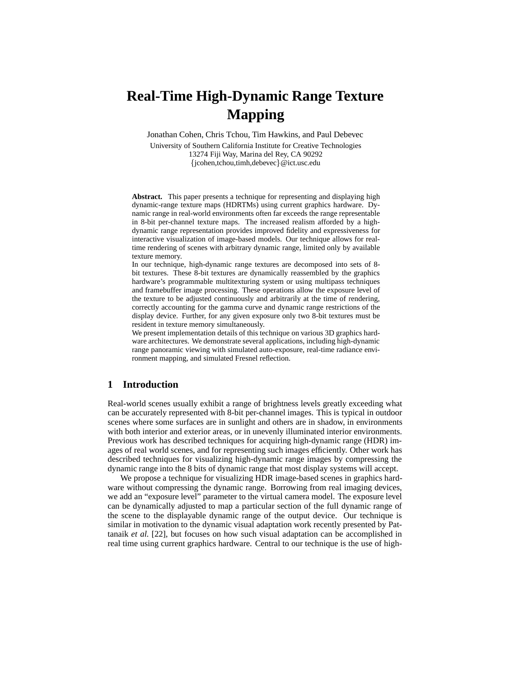# **Real-Time High-Dynamic Range Texture Mapping**

Jonathan Cohen, Chris Tchou, Tim Hawkins, and Paul Debevec

University of Southern California Institute for Creative Technologies 13274 Fiji Way, Marina del Rey, CA 90292 {jcohen,tchou,timh,debevec}@ict.usc.edu

**Abstract.** This paper presents a technique for representing and displaying high dynamic-range texture maps (HDRTMs) using current graphics hardware. Dynamic range in real-world environments often far exceeds the range representable in 8-bit per-channel texture maps. The increased realism afforded by a highdynamic range representation provides improved fidelity and expressiveness for interactive visualization of image-based models. Our technique allows for realtime rendering of scenes with arbitrary dynamic range, limited only by available texture memory.

In our technique, high-dynamic range textures are decomposed into sets of 8 bit textures. These 8-bit textures are dynamically reassembled by the graphics hardware's programmable multitexturing system or using multipass techniques and framebuffer image processing. These operations allow the exposure level of the texture to be adjusted continuously and arbitrarily at the time of rendering, correctly accounting for the gamma curve and dynamic range restrictions of the display device. Further, for any given exposure only two 8-bit textures must be resident in texture memory simultaneously.

We present implementation details of this technique on various 3D graphics hardware architectures. We demonstrate several applications, including high-dynamic range panoramic viewing with simulated auto-exposure, real-time radiance environment mapping, and simulated Fresnel reflection.

## **1 Introduction**

Real-world scenes usually exhibit a range of brightness levels greatly exceeding what can be accurately represented with 8-bit per-channel images. This is typical in outdoor scenes where some surfaces are in sunlight and others are in shadow, in environments with both interior and exterior areas, or in unevenly illuminated interior environments. Previous work has described techniques for acquiring high-dynamic range (HDR) images of real world scenes, and for representing such images efficiently. Other work has described techniques for visualizing high-dynamic range images by compressing the dynamic range into the 8 bits of dynamic range that most display systems will accept.

We propose a technique for visualizing HDR image-based scenes in graphics hardware without compressing the dynamic range. Borrowing from real imaging devices, we add an "exposure level" parameter to the virtual camera model. The exposure level can be dynamically adjusted to map a particular section of the full dynamic range of the scene to the displayable dynamic range of the output device. Our technique is similar in motivation to the dynamic visual adaptation work recently presented by Pattanaik *et al.* [22], but focuses on how such visual adaptation can be accomplished in real time using current graphics hardware. Central to our technique is the use of high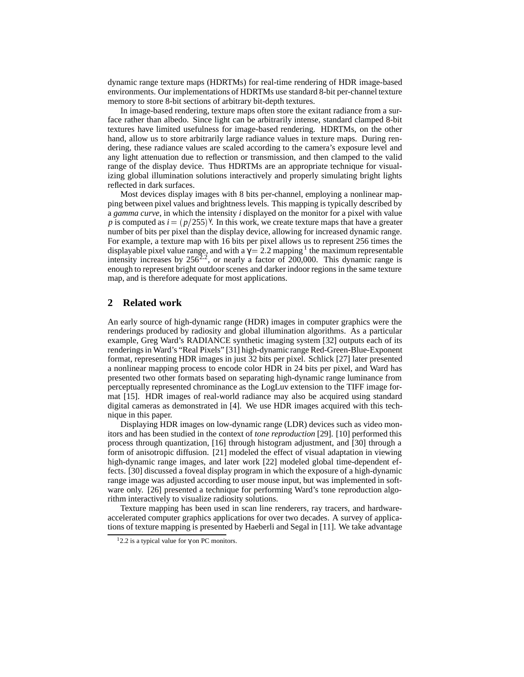dynamic range texture maps (HDRTMs) for real-time rendering of HDR image-based environments. Our implementations of HDRTMs use standard 8-bit per-channel texture memory to store 8-bit sections of arbitrary bit-depth textures.

In image-based rendering, texture maps often store the exitant radiance from a surface rather than albedo. Since light can be arbitrarily intense, standard clamped 8-bit textures have limited usefulness for image-based rendering. HDRTMs, on the other hand, allow us to store arbitrarily large radiance values in texture maps. During rendering, these radiance values are scaled according to the camera's exposure level and any light attenuation due to reflection or transmission, and then clamped to the valid range of the display device. Thus HDRTMs are an appropriate technique for visualizing global illumination solutions interactively and properly simulating bright lights reflected in dark surfaces.

Most devices display images with 8 bits per-channel, employing a nonlinear mapping between pixel values and brightness levels. This mapping is typically described by a *gamma curve*, in which the intensity *i* displayed on the monitor for a pixel with value *p* is computed as  $i = (p/255)^{\gamma}$ . In this work, we create texture maps that have a greater number of bits per pixel than the display device, allowing for increased dynamic range. For example, a texture map with 16 bits per pixel allows us to represent 256 times the displayable pixel value range, and with a  $\gamma = 2.2$  mapping <sup>1</sup> the maximum representable intensity increases by  $256^{2.2}$ , or nearly a factor of 200,000. This dynamic range is enough to represent bright outdoor scenes and darker indoor regions in the same texture map, and is therefore adequate for most applications.

## **2 Related work**

An early source of high-dynamic range (HDR) images in computer graphics were the renderings produced by radiosity and global illumination algorithms. As a particular example, Greg Ward's RADIANCE synthetic imaging system [32] outputs each of its renderings in Ward's "Real Pixels" [31] high-dynamic range Red-Green-Blue-Exponent format, representing HDR images in just 32 bits per pixel. Schlick [27] later presented a nonlinear mapping process to encode color HDR in 24 bits per pixel, and Ward has presented two other formats based on separating high-dynamic range luminance from perceptually represented chrominance as the LogLuv extension to the TIFF image format [15]. HDR images of real-world radiance may also be acquired using standard digital cameras as demonstrated in [4]. We use HDR images acquired with this technique in this paper.

Displaying HDR images on low-dynamic range (LDR) devices such as video monitors and has been studied in the context of *tone reproduction* [29]. [10] performed this process through quantization, [16] through histogram adjustment, and [30] through a form of anisotropic diffusion. [21] modeled the effect of visual adaptation in viewing high-dynamic range images, and later work [22] modeled global time-dependent effects. [30] discussed a foveal display program in which the exposure of a high-dynamic range image was adjusted according to user mouse input, but was implemented in software only. [26] presented a technique for performing Ward's tone reproduction algorithm interactively to visualize radiosity solutions.

Texture mapping has been used in scan line renderers, ray tracers, and hardwareaccelerated computer graphics applications for over two decades. A survey of applications of texture mapping is presented by Haeberli and Segal in [11]. We take advantage

<sup>&</sup>lt;sup>1</sup>2.2 is a typical value for  $γ$  on PC monitors.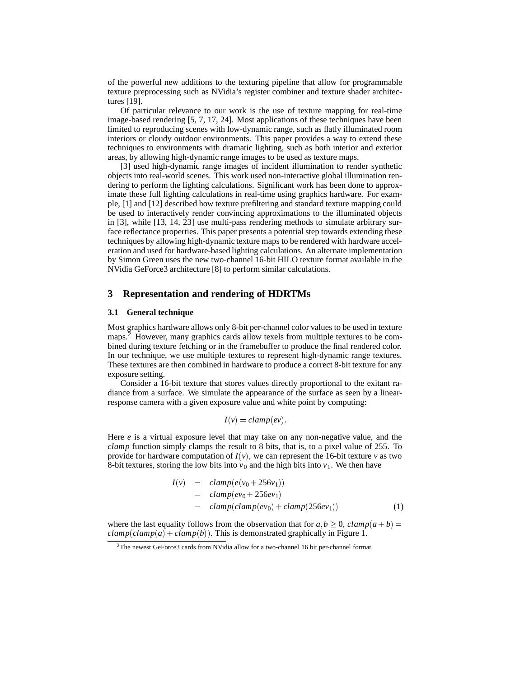of the powerful new additions to the texturing pipeline that allow for programmable texture preprocessing such as NVidia's register combiner and texture shader architectures [19].

Of particular relevance to our work is the use of texture mapping for real-time image-based rendering [5, 7, 17, 24]. Most applications of these techniques have been limited to reproducing scenes with low-dynamic range, such as flatly illuminated room interiors or cloudy outdoor environments. This paper provides a way to extend these techniques to environments with dramatic lighting, such as both interior and exterior areas, by allowing high-dynamic range images to be used as texture maps.

[3] used high-dynamic range images of incident illumination to render synthetic objects into real-world scenes. This work used non-interactive global illumination rendering to perform the lighting calculations. Significant work has been done to approximate these full lighting calculations in real-time using graphics hardware. For example, [1] and [12] described how texture prefiltering and standard texture mapping could be used to interactively render convincing approximations to the illuminated objects in [3], while [13, 14, 23] use multi-pass rendering methods to simulate arbitrary surface reflectance properties. This paper presents a potential step towards extending these techniques by allowing high-dynamic texture maps to be rendered with hardware acceleration and used for hardware-based lighting calculations. An alternate implementation by Simon Green uses the new two-channel 16-bit HILO texture format available in the NVidia GeForce3 architecture [8] to perform similar calculations.

## **3 Representation and rendering of HDRTMs**

#### **3.1 General technique**

Most graphics hardware allows only 8-bit per-channel color values to be used in texture maps.<sup>2</sup> However, many graphics cards allow texels from multiple textures to be combined during texture fetching or in the framebuffer to produce the final rendered color. In our technique, we use multiple textures to represent high-dynamic range textures. These textures are then combined in hardware to produce a correct 8-bit texture for any exposure setting.

Consider a 16-bit texture that stores values directly proportional to the exitant radiance from a surface. We simulate the appearance of the surface as seen by a linearresponse camera with a given exposure value and white point by computing:

$$
I(v) = clamp(ev).
$$

Here *e* is a virtual exposure level that may take on any non-negative value, and the *clamp* function simply clamps the result to 8 bits, that is, to a pixel value of 255. To provide for hardware computation of  $I(v)$ , we can represent the 16-bit texture *v* as two 8-bit textures, storing the low bits into  $v_0$  and the high bits into  $v_1$ . We then have

$$
I(v) = clamp(e(v_0 + 256v_1))
$$
  
= clamp(ev\_0 + 256ev\_1)  
= clamp(clamp(ev\_0) + clamp(256ev\_1)) (1)

where the last equality follows from the observation that for  $a, b > 0$ ,  $clamp(a + b) =$  $clamp(clamp(a) + clamp(b))$ . This is demonstrated graphically in Figure 1.

<sup>2</sup>The newest GeForce3 cards from NVidia allow for a two-channel 16 bit per-channel format.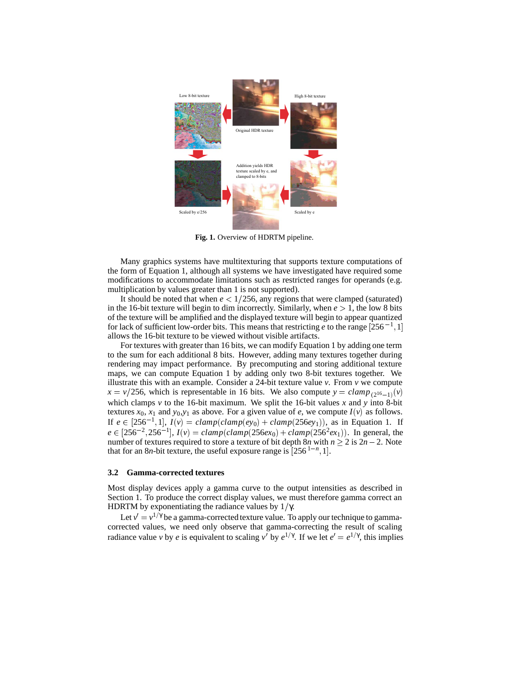

**Fig. 1.** Overview of HDRTM pipeline.

Many graphics systems have multitexturing that supports texture computations of the form of Equation 1, although all systems we have investigated have required some modifications to accommodate limitations such as restricted ranges for operands (e.g. multiplication by values greater than 1 is not supported).

It should be noted that when  $e < 1/256$ , any regions that were clamped (saturated) in the 16-bit texture will begin to dim incorrectly. Similarly, when  $e > 1$ , the low 8 bits of the texture will be amplified and the displayed texture will begin to appear quantized for lack of sufficient low-order bits. This means that restricting *e* to the range  $[256^{-1}, 1]$ allows the 16-bit texture to be viewed without visible artifacts.

For textures with greater than 16 bits, we can modify Equation 1 by adding one term to the sum for each additional 8 bits. However, adding many textures together during rendering may impact performance. By precomputing and storing additional texture maps, we can compute Equation 1 by adding only two 8-bit textures together. We illustrate this with an example. Consider a 24-bit texture value  $\nu$ . From  $\nu$  we compute  $x = v/256$ , which is representable in 16 bits. We also compute  $y = clamp_{(2^{16}-1)}(v)$ which clamps  $\nu$  to the 16-bit maximum. We split the 16-bit values  $x$  and  $y$  into 8-bit textures  $x_0$ ,  $x_1$  and  $y_0$ , $y_1$  as above. For a given value of *e*, we compute  $I(v)$  as follows. If  $e \in [256^{-1}, 1]$ ,  $I(v) = clamp(clamp(ev_0) + clamp(256ey_1)$ , as in Equation 1. If  $e \in [256^{-2}, 256^{-1}],$   $I(v) = clamp(clamp(256ex_0) + clamp(256<sup>2</sup>ex_1)).$  In general, the number of textures required to store a texture of bit depth  $8n$  with  $n \ge 2$  is  $2n - 2$ . Note that for an 8*n*-bit texture, the useful exposure range is  $[256^{1-n}, 1]$ .

#### **3.2 Gamma-corrected textures**

Most display devices apply a gamma curve to the output intensities as described in Section 1. To produce the correct display values, we must therefore gamma correct an HDRTM by exponentiating the radiance values by  $1/\gamma$ .

Let  $v' = v^{1/\gamma}$  be a gamma-corrected texture value. To apply our technique to gammacorrected values, we need only observe that gamma-correcting the result of scaling radiance value *v* by *e* is equivalent to scaling *v'* by  $e^{1/\gamma}$ . If we let  $e' = e^{1/\gamma}$ , this implies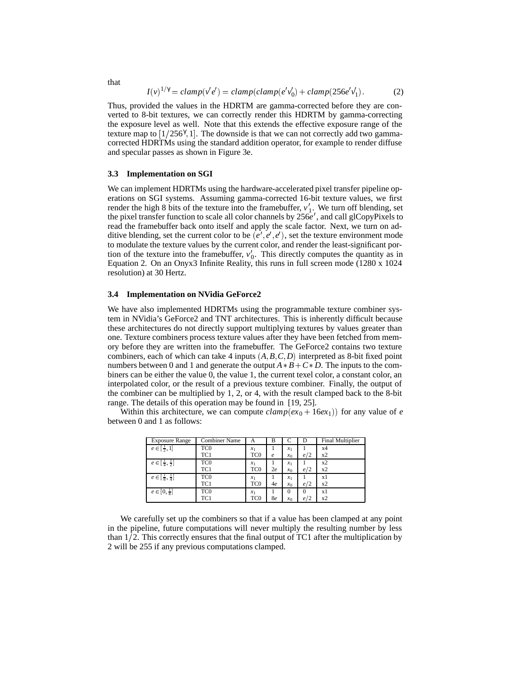$$
I(v)^{1/\gamma} = clamp(v'e') = clamp(clamp(e'v'_0) + clamp(256e'v'_1).
$$
 (2)

Thus, provided the values in the HDRTM are gamma-corrected before they are converted to 8-bit textures, we can correctly render this HDRTM by gamma-correcting the exposure level as well. Note that this extends the effective exposure range of the texture map to  $[1/256^\gamma, 1]$ . The downside is that we can not correctly add two gammacorrected HDRTMs using the standard addition operator, for example to render diffuse and specular passes as shown in Figure 3e.

### **3.3 Implementation on SGI**

We can implement HDRTMs using the hardware-accelerated pixel transfer pipeline operations on SGI systems. Assuming gamma-corrected 16-bit texture values, we first render the high 8 bits of the texture into the framebuffer,  $v_1'$ . We turn off blending, set the pixel transfer function to scale all color channels by 256*e'*, and call glCopyPixels to read the framebuffer back onto itself and apply the scale factor. Next, we turn on additive blending, set the current color to be  $(e', e', e')$ , set the texture environment mode to modulate the texture values by the current color, and render the least-significant portion of the texture into the framebuffer,  $v_0'$ . This directly computes the quantity as in Equation 2. On an Onyx3 Infinite Reality, this runs in full screen mode (1280 x 1024 resolution) at 30 Hertz.

#### **3.4 Implementation on NVidia GeForce2**

We have also implemented HDRTMs using the programmable texture combiner system in NVidia's GeForce2 and TNT architectures. This is inherently difficult because these architectures do not directly support multiplying textures by values greater than one. Texture combiners process texture values after they have been fetched from memory before they are written into the framebuffer. The GeForce2 contains two texture combiners, each of which can take 4 inputs  $(A, B, C, D)$  interpreted as 8-bit fixed point numbers between 0 and 1 and generate the output  $A * B + C * D$ . The inputs to the combiners can be either the value 0, the value 1, the current texel color, a constant color, an interpolated color, or the result of a previous texture combiner. Finally, the output of the combiner can be multiplied by 1, 2, or 4, with the result clamped back to the 8-bit range. The details of this operation may be found in [19, 25].

Within this architecture, we can compute  $clamp(ex_0 + 16ex_1)$  for any value of *e* between 0 and 1 as follows:

| <b>Exposure Range</b>              | <b>Combiner Name</b> | A               | в          |          |          | Final Multiplier |
|------------------------------------|----------------------|-----------------|------------|----------|----------|------------------|
| $e \in [\frac{1}{2}, 1]$           | TC <sub>0</sub>      | $x_1$           |            | $x_1$    |          | x4               |
|                                    | TC1                  | TC <sub>0</sub> | $\epsilon$ | $x_0$    | e/2      | x2               |
| $e \in [\frac{1}{4}, \frac{1}{2}]$ | TC <sub>0</sub>      | $x_1$           |            | $x_1$    |          | x2               |
|                                    | TC1                  | TC <sub>0</sub> | 2e         | $x_0$    | e/2      | x2               |
| $e \in [\frac{1}{8}, \frac{1}{4}]$ | TC <sub>0</sub>      | $x_1$           |            | $x_1$    |          | хl               |
|                                    | TC1                  | TC <sub>0</sub> | 4e         | $x_0$    | e/2      | x2               |
| $e \in [0, \frac{1}{8}]$           | TC <sub>0</sub>      | $x_1$           |            | $\theta$ | $\Omega$ | хl               |
|                                    | TC1                  | TC0             | 8e         | $x_0$    | e/2      | x2               |

We carefully set up the combiners so that if a value has been clamped at any point in the pipeline, future computations will never multiply the resulting number by less than  $1/2$ . This correctly ensures that the final output of TC1 after the multiplication by 2 will be 255 if any previous computations clamped.

that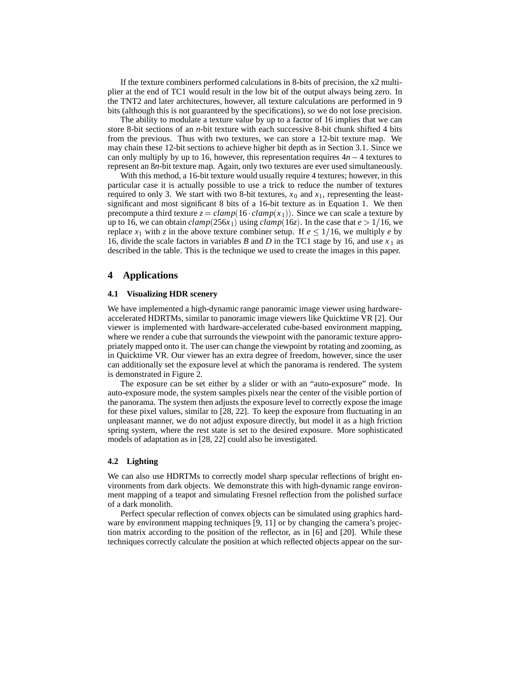If the texture combiners performed calculations in 8-bits of precision, the x2 multiplier at the end of TC1 would result in the low bit of the output always being zero. In the TNT2 and later architectures, however, all texture calculations are performed in 9 bits (although this is not guaranteed by the specifications), so we do not lose precision.

The ability to modulate a texture value by up to a factor of 16 implies that we can store 8-bit sections of an *n*-bit texture with each successive 8-bit chunk shifted 4 bits from the previous. Thus with two textures, we can store a 12-bit texture map. We may chain these 12-bit sections to achieve higher bit depth as in Section 3.1. Since we can only multiply by up to 16, however, this representation requires  $4n - 4$  textures to represent an 8*n*-bit texture map. Again, only two textures are ever used simultaneously.

With this method, a 16-bit texture would usually require 4 textures; however, in this particular case it is actually possible to use a trick to reduce the number of textures required to only 3. We start with two 8-bit textures,  $x_0$  and  $x_1$ , representing the leastsignificant and most significant 8 bits of a 16-bit texture as in Equation 1. We then precompute a third texture  $z = clamp(16 \cdot clamp(x_1))$ . Since we can scale a texture by up to 16, we can obtain  $clamp(256x_1)$  using  $clamp(16z)$ . In the case that  $e > 1/16$ , we replace  $x_1$  with z in the above texture combiner setup. If  $e \leq 1/16$ , we multiply *e* by 16, divide the scale factors in variables *B* and *D* in the TC1 stage by 16, and use  $x_1$  as described in the table. This is the technique we used to create the images in this paper.

## **4 Applications**

#### **4.1 Visualizing HDR scenery**

We have implemented a high-dynamic range panoramic image viewer using hardwareaccelerated HDRTMs, similar to panoramic image viewers like Quicktime VR [2]. Our viewer is implemented with hardware-accelerated cube-based environment mapping, where we render a cube that surrounds the viewpoint with the panoramic texture appropriately mapped onto it. The user can change the viewpoint by rotating and zooming, as in Quicktime VR. Our viewer has an extra degree of freedom, however, since the user can additionally set the exposure level at which the panorama is rendered. The system is demonstrated in Figure 2.

The exposure can be set either by a slider or with an "auto-exposure" mode. In auto-exposure mode, the system samples pixels near the center of the visible portion of the panorama. The system then adjusts the exposure level to correctly expose the image for these pixel values, similar to [28, 22]. To keep the exposure from fluctuating in an unpleasant manner, we do not adjust exposure directly, but model it as a high friction spring system, where the rest state is set to the desired exposure. More sophisticated models of adaptation as in [28, 22] could also be investigated.

## **4.2 Lighting**

We can also use HDRTMs to correctly model sharp specular reflections of bright environments from dark objects. We demonstrate this with high-dynamic range environment mapping of a teapot and simulating Fresnel reflection from the polished surface of a dark monolith.

Perfect specular reflection of convex objects can be simulated using graphics hardware by environment mapping techniques [9, 11] or by changing the camera's projection matrix according to the position of the reflector, as in  $[6]$  and  $[20]$ . While these techniques correctly calculate the position at which reflected objects appear on the sur-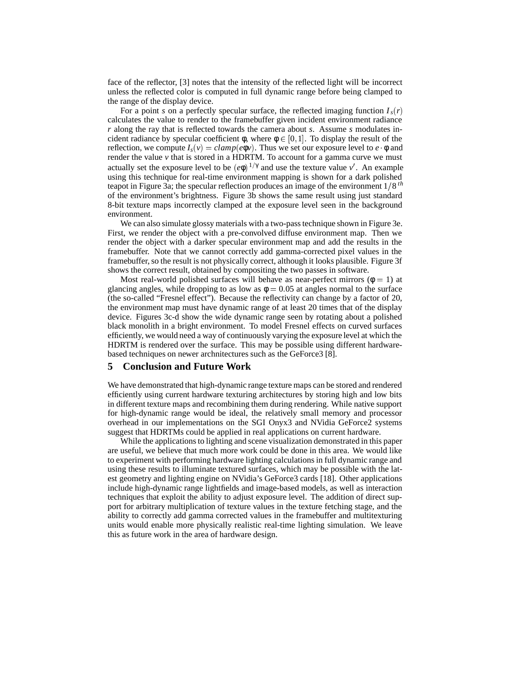face of the reflector, [3] notes that the intensity of the reflected light will be incorrect unless the reflected color is computed in full dynamic range before being clamped to the range of the display device.

For a point *s* on a perfectly specular surface, the reflected imaging function  $I_s(r)$ calculates the value to render to the framebuffer given incident environment radiance *r* along the ray that is reflected towards the camera about *s*. Assume *s* modulates incident radiance by specular coefficient  $\phi$ , where  $\phi \in [0, 1]$ . To display the result of the reflection, we compute  $I_s(v) = clamp(e\phi v)$ . Thus we set our exposure level to  $e \phi$  and render the value  $\nu$  that is stored in a HDRTM. To account for a gamma curve we must actually set the exposure level to be  $(e\phi)^{1/\gamma}$  and use the texture value *v'*. An example using this technique for real-time environment mapping is shown for a dark polished teapot in Figure 3a; the specular reflection produces an image of the environment  $1/8$ <sup>th</sup> of the environment's brightness. Figure 3b shows the same result using just standard 8-bit texture maps incorrectly clamped at the exposure level seen in the background environment.

We can also simulate glossy materials with a two-pass technique shown in Figure 3e. First, we render the object with a pre-convolved diffuse environment map. Then we render the object with a darker specular environment map and add the results in the framebuffer. Note that we cannot correctly add gamma-corrected pixel values in the framebuffer, so the result is not physically correct, although it looks plausible. Figure 3f shows the correct result, obtained by compositing the two passes in software.

Most real-world polished surfaces will behave as near-perfect mirrors ( $\phi = 1$ ) at glancing angles, while dropping to as low as  $\phi = 0.05$  at angles normal to the surface (the so-called "Fresnel effect"). Because the reflectivity can change by a factor of 20, the environment map must have dynamic range of at least 20 times that of the display device. Figures 3c-d show the wide dynamic range seen by rotating about a polished black monolith in a bright environment. To model Fresnel effects on curved surfaces efficiently, we would need a way of continuously varying the exposure level at which the HDRTM is rendered over the surface. This may be possible using different hardwarebased techniques on newer archnitectures such as the GeForce3 [8].

## **5 Conclusion and Future Work**

We have demonstrated that high-dynamic range texture maps can be stored and rendered efficiently using current hardware texturing architectures by storing high and low bits in different texture maps and recombining them during rendering. While native support for high-dynamic range would be ideal, the relatively small memory and processor overhead in our implementations on the SGI Onyx3 and NVidia GeForce2 systems suggest that HDRTMs could be applied in real applications on current hardware.

While the applications to lighting and scene visualization demonstrated in this paper are useful, we believe that much more work could be done in this area. We would like to experiment with performing hardware lighting calculations in full dynamic range and using these results to illuminate textured surfaces, which may be possible with the latest geometry and lighting engine on NVidia's GeForce3 cards [18]. Other applications include high-dynamic range lightfields and image-based models, as well as interaction techniques that exploit the ability to adjust exposure level. The addition of direct support for arbitrary multiplication of texture values in the texture fetching stage, and the ability to correctly add gamma corrected values in the framebuffer and multitexturing units would enable more physically realistic real-time lighting simulation. We leave this as future work in the area of hardware design.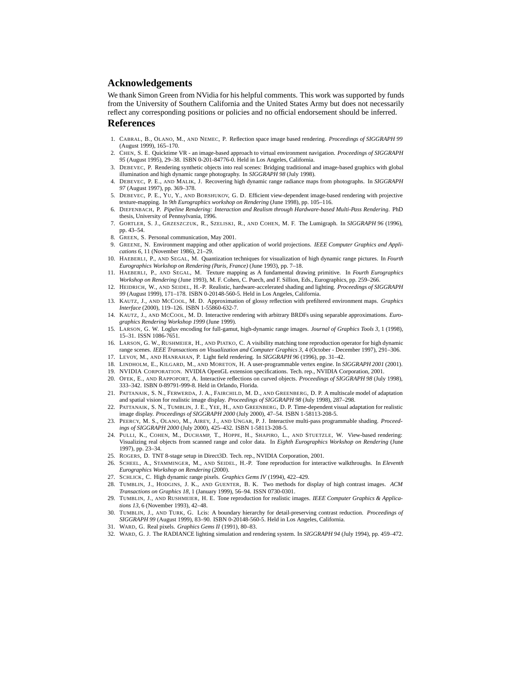## **Acknowledgements**

We thank Simon Green from NVidia for his helpful comments. This work was supported by funds from the University of Southern California and the United States Army but does not necessarily reflect any corresponding positions or policies and no official endorsement should be inferred.

#### **References**

- 1. CABRAL, B., OLANO, M., AND NEMEC, P. Reflection space image based rendering. *Proceedings of SIGGRAPH 99* (August 1999), 165–170.
- 2. CHEN, S. E. Quicktime VR an image-based approach to virtual environment navigation. *Proceedings of SIGGRAPH 95* (August 1995), 29–38. ISBN 0-201-84776-0. Held in Los Angeles, California.
- 3. DEBEVEC, P. Rendering synthetic objects into real scenes: Bridging traditional and image-based graphics with global illumination and high dynamic range photography. In *SIGGRAPH 98* (July 1998).
- 4. DEBEVEC, P. E., AND MALIK, J. Recovering high dynamic range radiance maps from photographs. In *SIGGRAPH 97* (August 1997), pp. 369–378.
- 5. DEBEVEC, P. E., YU, Y., AND BORSHUKOV, G. D. Efficient view-dependent image-based rendering with projective texture-mapping. In *9th Eurographics workshop on Rendering* (June 1998), pp. 105–116.
- 6. DIEFENBACH, P. *Pipeline Rendering: Interaction and Realism through Hardware-based Multi-Pass Rendering*. PhD thesis, University of Pennsylvania, 1996.
- 7. GORTLER, S. J., GRZESZCZUK, R., SZELISKI, R., AND COHEN, M. F. The Lumigraph. In *SIGGRAPH 96* (1996), pp. 43–54.
- 8. GREEN, S. Personal communication, May 2001.
- 9. GREENE, N. Environment mapping and other application of world projections. *IEEE Computer Graphics and Applications 6*, 11 (November 1986), 21–29.
- 10. HAEBERLI, P., AND SEGAL, M. Quantization techniques for visualization of high dynamic range pictures. In *Fourth Eurographics Workshop on Rendering (Paris, France)* (June 1993), pp. 7–18.
- 11. HAEBERLI, P., AND SEGAL, M. Texture mapping as A fundamental drawing primitive. In *Fourth Eurographics Workshop on Rendering* (June 1993), M. F. Cohen, C. Puech, and F. Sillion, Eds., Eurographics, pp. 259–266.
- 12. HEIDRICH, W., AND SEIDEL, H.-P. Realistic, hardware-accelerated shading and lighting. *Proceedings of SIGGRAPH 99* (August 1999), 171–178. ISBN 0-20148-560-5. Held in Los Angeles, California.
- 13. KAUTZ, J., AND MCCOOL, M. D. Approximation of glossy reflection with prefiltered environment maps. *Graphics Interface* (2000), 119–126. ISBN 1-55860-632-7.
- 14. KAUTZ, J., AND MCCOOL, M. D. Interactive rendering with arbitrary BRDFs using separable approximations. *Eurographics Rendering Workshop 1999* (June 1999).
- 15. LARSON, G. W. Logluv encoding for full-gamut, high-dynamic range images. *Journal of Graphics Tools 3*, 1 (1998), 15–31. ISSN 1086-7651.
- 16. LARSON, G. W., RUSHMEIER, H., AND PIATKO, C. A visibility matching tone reproduction operator for high dynamic range scenes. *IEEE Transactions on Visualization and Computer Graphics 3*, 4 (October - December 1997), 291–306.
- 17. LEVOY, M., AND HANRAHAN, P. Light field rendering. In *SIGGRAPH 96* (1996), pp. 31–42.
- 18. LINDHOLM, E., KILGARD, M., AND MORETON, H. A user-programmable vertex engine. In *SIGGRAPH 2001* (2001).
- 19. NVIDIA CORPORATION. NVIDIA OpenGL extension specifications. Tech. rep., NVIDIA Corporation, 2001. 20. OFEK, E., AND RAPPOPORT, A. Interactive reflections on curved objects. *Proceedings of SIGGRAPH 98* (July 1998),
- 333–342. ISBN 0-89791-999-8. Held in Orlando, Florida. 21. PATTANAIK, S. N., FERWERDA, J. A., FAIRCHILD, M. D., AND GREENBERG, D. P. A multiscale model of adaptation
- and spatial vision for realistic image display. *Proceedings of SIGGRAPH 98* (July 1998), 287–298. 22. PATTANAIK, S. N., TUMBLIN, J. E., YEE, H., AND GREENBERG, D. P. Time-dependent visual adaptation for realistic
- image display. *Proceedings of SIGGRAPH 2000* (July 2000), 47–54. ISBN 1-58113-208-5. 23. PEERCY, M. S., OLANO, M., AIREY, J., AND UNGAR, P. J. Interactive multi-pass programmable shading. *Proceed-*
- *ings of SIGGRAPH 2000* (July 2000), 425–432. ISBN 1-58113-208-5. 24. PULLI, K., COHEN, M., DUCHAMP, T., HOPPE, H., SHAPIRO, L., AND STUETZLE, W. View-based rendering: Visualizing real objects from scanned range and color data. In *Eighth Eurographics Workshop on Rendering* (June 1997), pp. 23–34.
- 25. ROGERS, D. TNT 8-stage setup in Direct3D. Tech. rep., NVIDIA Corporation, 2001.
- 26. SCHEEL, A., STAMMINGER, M., AND SEIDEL, H.-P. Tone reproduction for interactive walkthroughs. In *Eleventh Eurographics Workshop on Rendering* (2000).
- 27. SCHLICK, C. High dynamic range pixels. *Graphics Gems IV* (1994), 422–429.
- 28. TUMBLIN, J., HODGINS, J. K., AND GUENTER, B. K. Two methods for display of high contrast images. *ACM Transactions on Graphics 18*, 1 (January 1999), 56–94. ISSN 0730-0301.
- 29. TUMBLIN, J., AND RUSHMEIER, H. E. Tone reproduction for realistic images. *IEEE Computer Graphics & Applications 13*, 6 (November 1993), 42–48.
- 30. TUMBLIN, J., AND TURK, G. Lcis: A boundary hierarchy for detail-preserving contrast reduction. *Proceedings of SIGGRAPH 99* (August 1999), 83–90. ISBN 0-20148-560-5. Held in Los Angeles, California.
- 31. WARD, G. Real pixels. *Graphics Gems II* (1991), 80–83.
- 32. WARD, G. J. The RADIANCE lighting simulation and rendering system. In *SIGGRAPH 94* (July 1994), pp. 459–472.